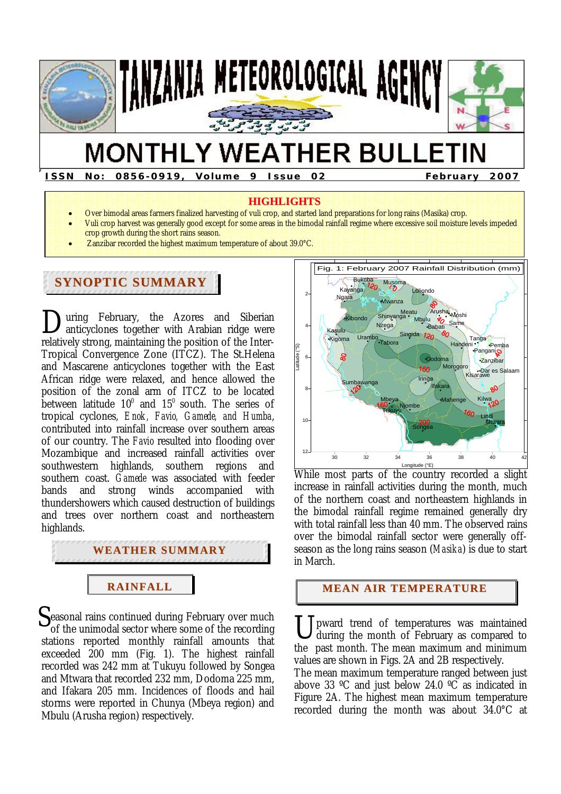

# **MONTHLY WEATHER BULLETIN**

**ISSN No: 0856-0919, Volume 9 Issue 02 February 2007** 

#### **HIGHLIGHTS**

- Over bimodal areas farmers finalized harvesting of vuli crop, and started land preparations for long rains (Masika) crop.
- Vuli crop harvest was generally good except for some areas in the bimodal rainfall regime where excessive soil moisture levels impeded
- crop growth during the short rains season.
- Zanzibar recorded the highest maximum temperature of about 39.0°C.

# **SYNOPTIC SUMMARY**

**F** 

uring February, the Azores and Siberian anticyclones together with Arabian ridge were relatively strong, maintaining the position of the Inter-Tropical Convergence Zone (ITCZ). The St.Helena and Mascarene anticyclones together with the East African ridge were relaxed, and hence allowed the position of the zonal arm of ITCZ to be located between latitude  $10^0$  and  $15^0$  south. The series of tropical cyclones, *Enok, Favio, Gamede, and Humba*, contributed into rainfall increase over southern areas of our country. The *Favio* resulted into flooding over Mozambique and increased rainfall activities over southwestern highlands, southern regions and southern coast. *Gamede* was associated with feeder bands and strong winds accompanied with thundershowers which caused destruction of buildings and trees over northern coast and northeastern highlands.  $\sum_{ar}$ 

# **WEATHER SUMMARY**

# **RAINFALL**

Seasonal rains continued during February over much<br>
of the unimodal sector where some of the recording<br>
stations reported monthly rainfall amounts that of the unimodal sector where some of the recording stations reported monthly rainfall amounts that exceeded 200 mm (Fig. 1). The highest rainfall recorded was 242 mm at Tukuyu followed by Songea and Mtwara that recorded 232 mm, Dodoma 225 mm, and Ifakara 205 mm. Incidences of floods and hail storms were reported in Chunya (Mbeya region) and Mbulu (Arusha region) respectively.



While most parts of the country recorded a slight increase in rainfall activities during the month, much of the northern coast and northeastern highlands in the bimodal rainfall regime remained generally dry with total rainfall less than 40 mm. The observed rains over the bimodal rainfall sector were generally offseason as the long rains season (*Masika*) is due to start in March.

#### **MEAN AIR TEMPERATURE**

pward trend of temperatures was maintained during the month of February as compared to the past month. The mean maximum and minimum values are shown in Figs. 2A and 2B respectively.

The mean maximum temperature ranged between just above 33  $\degree$ C and just below 24.0  $\degree$ C as indicated in Figure 2A. The highest mean maximum temperature recorded during the month was about 34.0°C at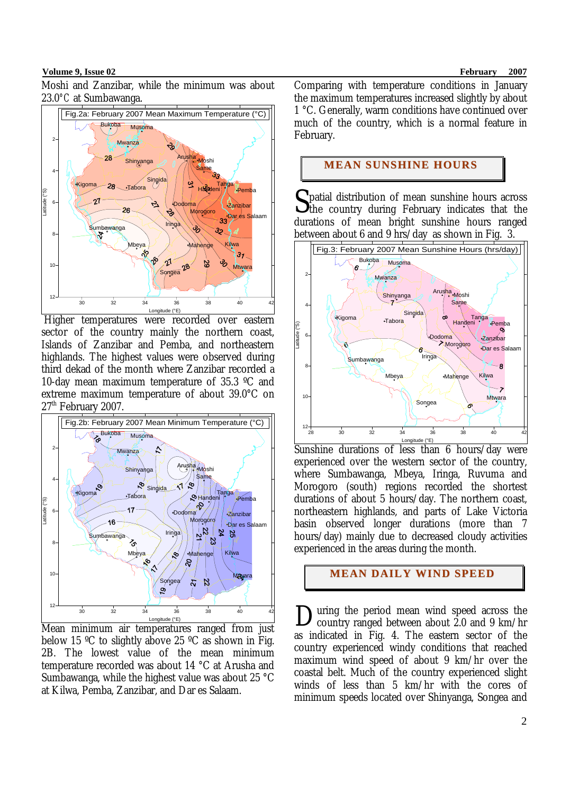#### **Volume 9, Issue 02** February 2007

Moshi and Zanzibar, while the minimum was about 23.0*°C* at Sumbawanga.



 Higher temperatures were recorded over eastern sector of the country mainly the northern coast, Islands of Zanzibar and Pemba, and northeastern highlands. The highest values were observed during third dekad of the month where Zanzibar recorded a 10-day mean maximum temperature of 35.3 ºC and extreme maximum temperature of about 39.0°C on 27<sup>th</sup> February 2007.



Mean minimum air temperatures ranged from just below 15 ºC to slightly above 25 ºC as shown in Fig. 2B. The lowest value of the mean minimum temperature recorded was about 14 °C at Arusha and Sumbawanga, while the highest value was about 25 °C at Kilwa, Pemba, Zanzibar, and Dar es Salaam.

Comparing with temperature conditions in January the maximum temperatures increased slightly by about 1 °C. Generally, warm conditions have continued over much of the country, which is a normal feature in February.

#### **MEAN SUNSHINE HOURS**

patial distribution of mean sunshine hours across Spatial distribution of mean sunshine hours across<br>the country during February indicates that the durations of mean bright sunshine hours ranged between about 6 and 9 hrs/day as shown in Fig. 3.



Longitude (°E)<br>Sunshine durations of less than 6 hours/day were experienced over the western sector of the country, where Sumbawanga, Mbeya, Iringa, Ruvuma and Morogoro (south) regions recorded the shortest durations of about 5 hours/day. The northern coast, northeastern highlands, and parts of Lake Victoria basin observed longer durations (more than 7 hours/day) mainly due to decreased cloudy activities experienced in the areas during the month.

# **MEAN DAILY WIND SPEED**

uring the period mean wind speed across the country ranged between about 2.0 and 9 km/hr as indicated in Fig. 4. The eastern sector of the country experienced windy conditions that reached maximum wind speed of about 9 km/hr over the coastal belt. Much of the country experienced slight winds of less than 5 km/hr with the cores of minimum speeds located over Shinyanga, Songea and D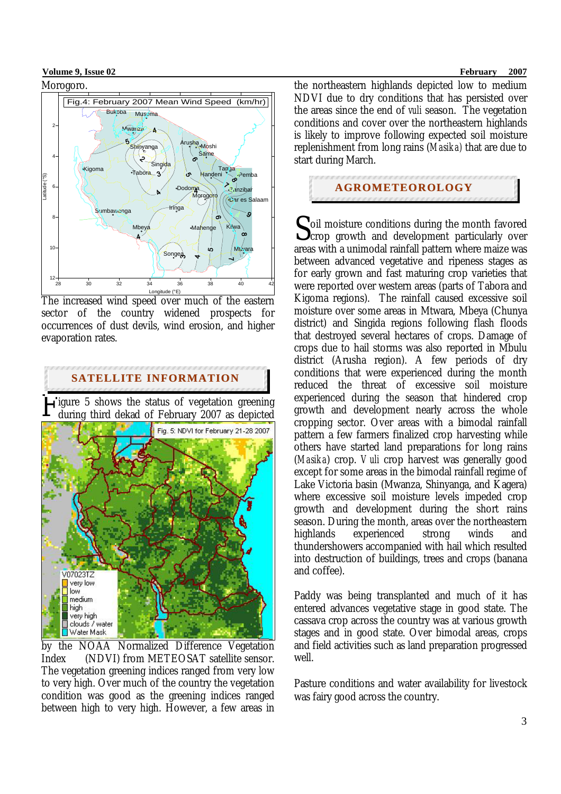#### **Volume 9. Issue 02** February 2007



The increased wind speed over much of the eastern sector of the country widened prospects for occurrences of dust devils, wind erosion, and higher evaporation rates.



by the NOAA Normalized Difference Vegetation Index (NDVI) from METEOSAT satellite sensor. The vegetation greening indices ranged from very low to very high. Over much of the country the vegetation condition was good as the greening indices ranged between high to very high. However, a few areas in

the northeastern highlands depicted low to medium NDVI due to dry conditions that has persisted over the areas since the end of *vuli* season. The vegetation conditions and cover over the northeastern highlands is likely to improve following expected soil moisture replenishment from long rains (*Masika)* that are due to start during March.

## **AGROMETEOROLOGY**

oil moisture conditions during the month favored  $\sum$  oil moisture conditions during the month favored<br>  $\sum$  crop growth and development particularly over areas with a unimodal rainfall pattern where maize was between advanced vegetative and ripeness stages as for early grown and fast maturing crop varieties that were reported over western areas (parts of Tabora and Kigoma regions). The rainfall caused excessive soil moisture over some areas in Mtwara, Mbeya (Chunya district) and Singida regions following flash floods that destroyed several hectares of crops. Damage of crops due to hail storms was also reported in Mbulu district (Arusha region). A few periods of dry conditions that were experienced during the month reduced the threat of excessive soil moisture experienced during the season that hindered crop growth and development nearly across the whole cropping sector. Over areas with a bimodal rainfall pattern a few farmers finalized crop harvesting while others have started land preparations for long rains (*Masika*) crop. *Vuli* crop harvest was generally good except for some areas in the bimodal rainfall regime of Lake Victoria basin (Mwanza, Shinyanga, and Kagera) where excessive soil moisture levels impeded crop growth and development during the short rains season. During the month, areas over the northeastern highlands experienced strong winds and thundershowers accompanied with hail which resulted into destruction of buildings, trees and crops (banana and coffee).

Paddy was being transplanted and much of it has entered advances vegetative stage in good state. The cassava crop across the country was at various growth stages and in good state. Over bimodal areas, crops and field activities such as land preparation progressed well.

Pasture conditions and water availability for livestock was fairy good across the country.